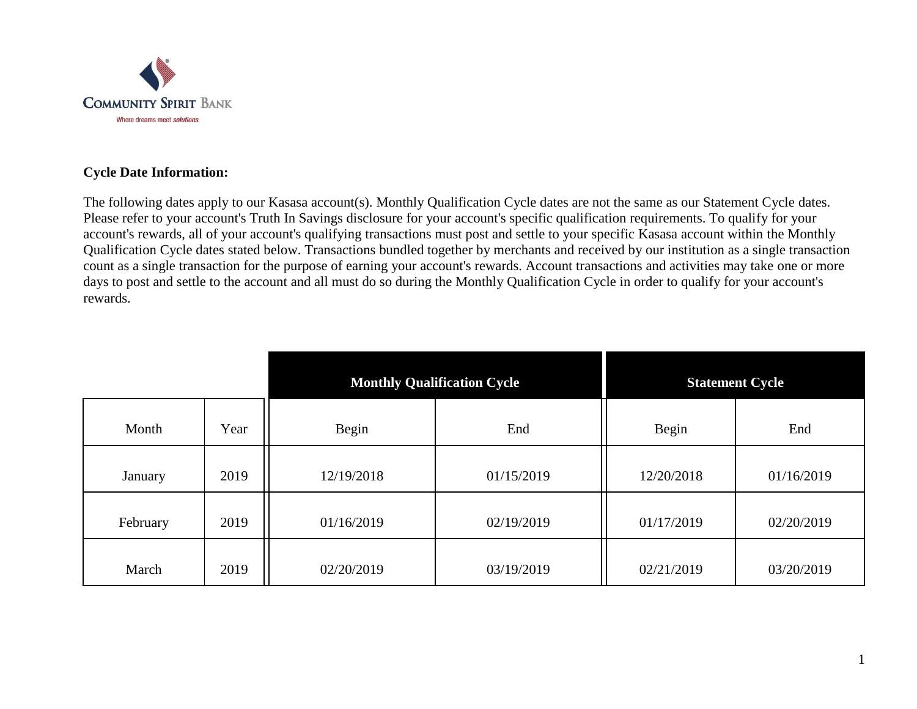

## **Cycle Date Information:**

The following dates apply to our Kasasa account(s). Monthly Qualification Cycle dates are not the same as our Statement Cycle dates. Please refer to your account's Truth In Savings disclosure for your account's specific qualification requirements. To qualify for your account's rewards, all of your account's qualifying transactions must post and settle to your specific Kasasa account within the Monthly Qualification Cycle dates stated below. Transactions bundled together by merchants and received by our institution as a single transaction count as a single transaction for the purpose of earning your account's rewards. Account transactions and activities may take one or more days to post and settle to the account and all must do so during the Monthly Qualification Cycle in order to qualify for your account's rewards.

|          |      | <b>Monthly Qualification Cycle</b> |            | <b>Statement Cycle</b> |            |
|----------|------|------------------------------------|------------|------------------------|------------|
| Month    | Year | Begin                              | End        | Begin                  | End        |
| January  | 2019 | 12/19/2018                         | 01/15/2019 | 12/20/2018             | 01/16/2019 |
| February | 2019 | 01/16/2019                         | 02/19/2019 | 01/17/2019             | 02/20/2019 |
| March    | 2019 | 02/20/2019                         | 03/19/2019 | 02/21/2019             | 03/20/2019 |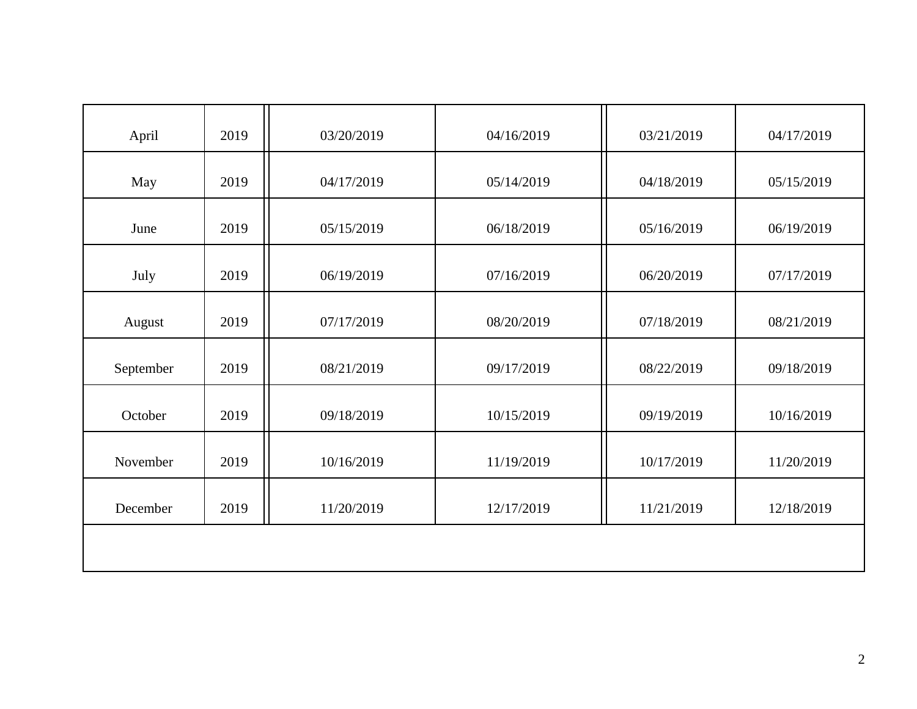| April     | 2019 | 03/20/2019 | 04/16/2019 | 03/21/2019 | 04/17/2019 |
|-----------|------|------------|------------|------------|------------|
| May       | 2019 | 04/17/2019 | 05/14/2019 | 04/18/2019 | 05/15/2019 |
| June      | 2019 | 05/15/2019 | 06/18/2019 | 05/16/2019 | 06/19/2019 |
| July      | 2019 | 06/19/2019 | 07/16/2019 | 06/20/2019 | 07/17/2019 |
| August    | 2019 | 07/17/2019 | 08/20/2019 | 07/18/2019 | 08/21/2019 |
| September | 2019 | 08/21/2019 | 09/17/2019 | 08/22/2019 | 09/18/2019 |
| October   | 2019 | 09/18/2019 | 10/15/2019 | 09/19/2019 | 10/16/2019 |
| November  | 2019 | 10/16/2019 | 11/19/2019 | 10/17/2019 | 11/20/2019 |
| December  | 2019 | 11/20/2019 | 12/17/2019 | 11/21/2019 | 12/18/2019 |
|           |      |            |            |            |            |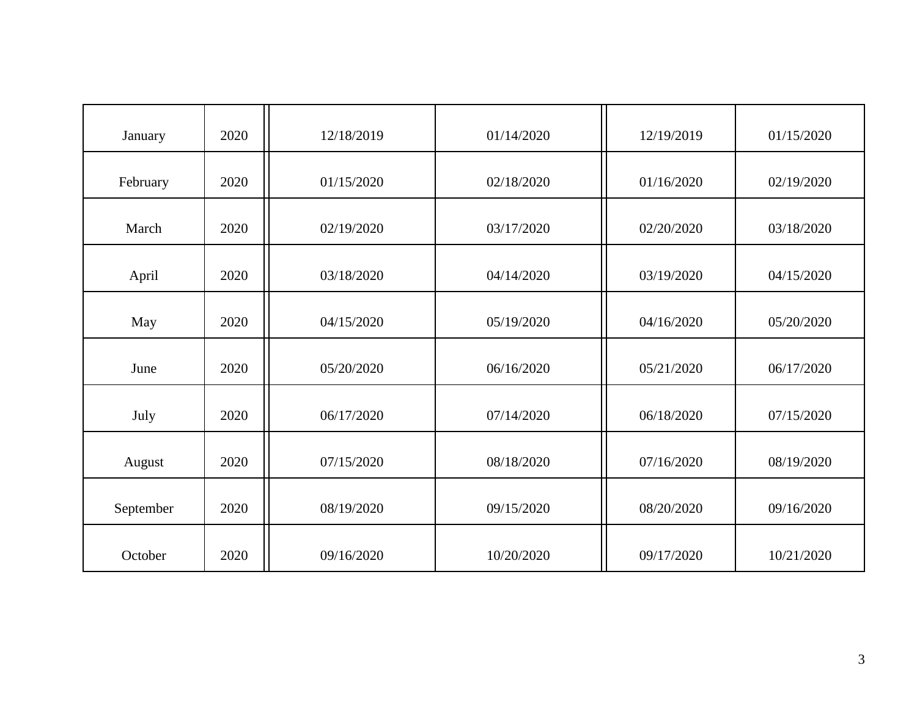| January   | 2020 | 12/18/2019 | 01/14/2020 | 12/19/2019 | 01/15/2020 |
|-----------|------|------------|------------|------------|------------|
| February  | 2020 | 01/15/2020 | 02/18/2020 | 01/16/2020 | 02/19/2020 |
| March     | 2020 | 02/19/2020 | 03/17/2020 | 02/20/2020 | 03/18/2020 |
| April     | 2020 | 03/18/2020 | 04/14/2020 | 03/19/2020 | 04/15/2020 |
| May       | 2020 | 04/15/2020 | 05/19/2020 | 04/16/2020 | 05/20/2020 |
| June      | 2020 | 05/20/2020 | 06/16/2020 | 05/21/2020 | 06/17/2020 |
| July      | 2020 | 06/17/2020 | 07/14/2020 | 06/18/2020 | 07/15/2020 |
| August    | 2020 | 07/15/2020 | 08/18/2020 | 07/16/2020 | 08/19/2020 |
| September | 2020 | 08/19/2020 | 09/15/2020 | 08/20/2020 | 09/16/2020 |
| October   | 2020 | 09/16/2020 | 10/20/2020 | 09/17/2020 | 10/21/2020 |